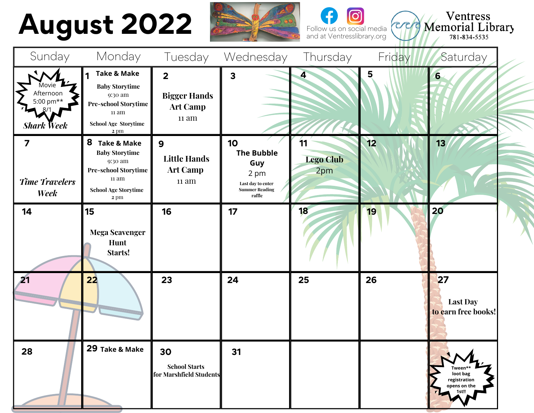# **August 2022**





and at Ventresslibrary.org

| Sunday                                                 | Monday                                                                                                                                    | Tuesday                                                           | Wednesday                                                                                      | Thursday                      | Friday | Saturday                                                     |  |
|--------------------------------------------------------|-------------------------------------------------------------------------------------------------------------------------------------------|-------------------------------------------------------------------|------------------------------------------------------------------------------------------------|-------------------------------|--------|--------------------------------------------------------------|--|
| Movie /<br>Afternoon<br>5:00 pm**<br><b>Shark Week</b> | <b>Take &amp; Make</b><br><b>Baby Storytime</b><br>9:30 am<br><b>Pre-school Storytime</b><br>11 am<br><b>School Age Storytime</b><br>2 pm | $\overline{2}$<br><b>Bigger Hands</b><br><b>Art Camp</b><br>11 am | $\overline{\mathbf{3}}$                                                                        | 4                             | 5      | 6                                                            |  |
| 7<br><b>Time Travelers</b><br>Week                     | 8 Take & Make<br><b>Baby Storytime</b><br>9:30 am<br><b>Pre-school Storytime</b><br>11 am<br><b>School Age Storytime</b><br>2 pm          | $\mathbf{9}$<br><b>Little Hands</b><br><b>Art Camp</b><br>11 am   | 10<br><b>The Bubble</b><br>Guy<br>2 pm<br>Last day to enter<br><b>Summer Reading</b><br>raffle | 11<br><b>Lego Club</b><br>2pm | 12     | 13                                                           |  |
| 14                                                     | 15<br><b>Mega Scavenger</b><br>Hunt<br>Starts!                                                                                            | 16                                                                | 17                                                                                             | 18                            | 19     | 20                                                           |  |
| 21                                                     | 22                                                                                                                                        | 23                                                                | 24                                                                                             | 25                            | 26     | 27<br><b>Last Day</b><br>to earn free books!                 |  |
| 28                                                     | 29 Take & Make                                                                                                                            | 30<br><b>School Starts</b><br>for Marshfield Students             | 31                                                                                             |                               |        | Tween**<br>loot bag<br>registration<br>opens on the<br>1st!! |  |